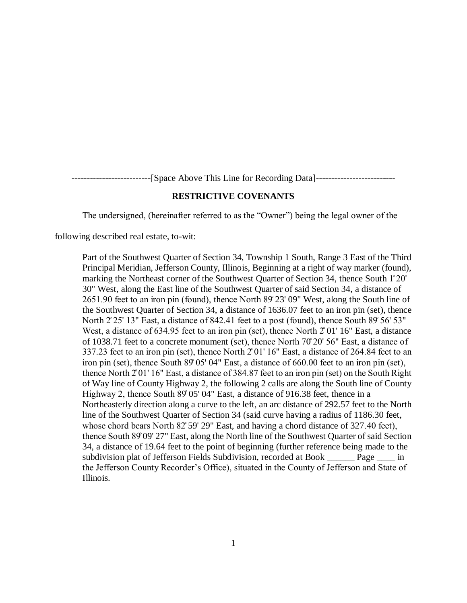--------------------------[Space Above This Line for Recording Data]--------------------------

## **RESTRICTIVE COVENANTS**

The undersigned, (hereinafter referred to as the "Owner") being the legal owner of the

following described real estate, to-wit:

Part of the Southwest Quarter of Section 34, Township 1 South, Range 3 East of the Third Principal Meridian, Jefferson County, Illinois, Beginning at a right of way marker (found), marking the Northeast corner of the Southwest Quarter of Section 34, thence South 1̊20' 30" West, along the East line of the Southwest Quarter of said Section 34, a distance of 2651.90 feet to an iron pin (found), thence North 89̊23' 09" West, along the South line of the Southwest Quarter of Section 34, a distance of 1636.07 feet to an iron pin (set), thence North  $2^{\circ}25'$  13" East, a distance of 842.41 feet to a post (found), thence South 89° 56' 53" West, a distance of  $634.95$  feet to an iron pin (set), thence North  $201'16''$  East, a distance of 1038.71 feet to a concrete monument (set), thence North 70̊20' 56" East, a distance of 337.23 feet to an iron pin (set), thence North  $201'16''$  East, a distance of 264.84 feet to an iron pin (set), thence South 89°05' 04" East, a distance of 660.00 feet to an iron pin (set), thence North 2̊01' 16" East, a distance of 384.87 feet to an iron pin (set) on the South Right of Way line of County Highway 2, the following 2 calls are along the South line of County Highway 2, thence South 89° 05' 04" East, a distance of 916.38 feet, thence in a Northeasterly direction along a curve to the left, an arc distance of 292.57 feet to the North line of the Southwest Quarter of Section 34 (said curve having a radius of 1186.30 feet, whose chord bears North 82° 59′ 29″ East, and having a chord distance of 327.40 feet), thence South 89̊09' 27" East, along the North line of the Southwest Quarter of said Section 34, a distance of 19.64 feet to the point of beginning (further reference being made to the subdivision plat of Jefferson Fields Subdivision, recorded at Book \_\_\_\_\_\_ Page \_\_\_\_ in the Jefferson County Recorder's Office), situated in the County of Jefferson and State of Illinois.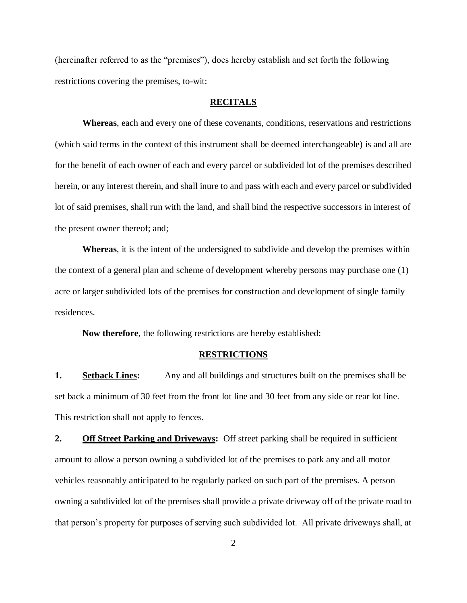(hereinafter referred to as the "premises"), does hereby establish and set forth the following restrictions covering the premises, to-wit:

## **RECITALS**

**Whereas**, each and every one of these covenants, conditions, reservations and restrictions (which said terms in the context of this instrument shall be deemed interchangeable) is and all are for the benefit of each owner of each and every parcel or subdivided lot of the premises described herein, or any interest therein, and shall inure to and pass with each and every parcel or subdivided lot of said premises, shall run with the land, and shall bind the respective successors in interest of the present owner thereof; and;

**Whereas**, it is the intent of the undersigned to subdivide and develop the premises within the context of a general plan and scheme of development whereby persons may purchase one (1) acre or larger subdivided lots of the premises for construction and development of single family residences.

**Now therefore**, the following restrictions are hereby established:

## **RESTRICTIONS**

**1. Setback Lines:** Any and all buildings and structures built on the premises shall be set back a minimum of 30 feet from the front lot line and 30 feet from any side or rear lot line. This restriction shall not apply to fences.

**2. Off Street Parking and Driveways:** Off street parking shall be required in sufficient amount to allow a person owning a subdivided lot of the premises to park any and all motor vehicles reasonably anticipated to be regularly parked on such part of the premises. A person owning a subdivided lot of the premises shall provide a private driveway off of the private road to that person's property for purposes of serving such subdivided lot. All private driveways shall, at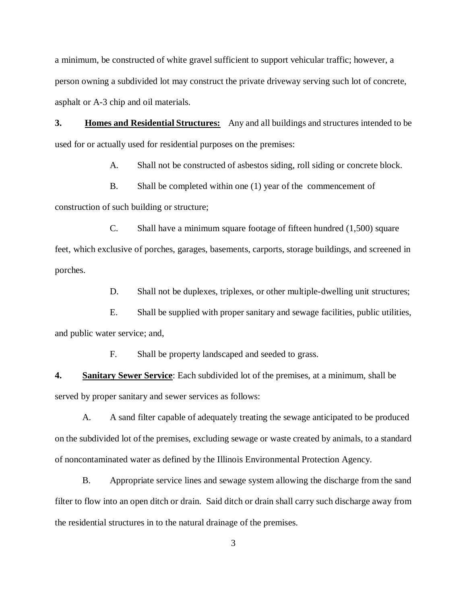a minimum, be constructed of white gravel sufficient to support vehicular traffic; however, a person owning a subdivided lot may construct the private driveway serving such lot of concrete, asphalt or A-3 chip and oil materials.

**3. Homes and Residential Structures:** Any and all buildings and structures intended to be used for or actually used for residential purposes on the premises:

A. Shall not be constructed of asbestos siding, roll siding or concrete block.

B. Shall be completed within one (1) year of the commencement of

construction of such building or structure;

C. Shall have a minimum square footage of fifteen hundred (1,500) square feet, which exclusive of porches, garages, basements, carports, storage buildings, and screened in porches.

D. Shall not be duplexes, triplexes, or other multiple-dwelling unit structures;

E. Shall be supplied with proper sanitary and sewage facilities, public utilities, and public water service; and,

F. Shall be property landscaped and seeded to grass.

**4. Sanitary Sewer Service**: Each subdivided lot of the premises, at a minimum, shall be served by proper sanitary and sewer services as follows:

A. A sand filter capable of adequately treating the sewage anticipated to be produced on the subdivided lot of the premises, excluding sewage or waste created by animals, to a standard of noncontaminated water as defined by the Illinois Environmental Protection Agency.

B. Appropriate service lines and sewage system allowing the discharge from the sand filter to flow into an open ditch or drain. Said ditch or drain shall carry such discharge away from the residential structures in to the natural drainage of the premises.

3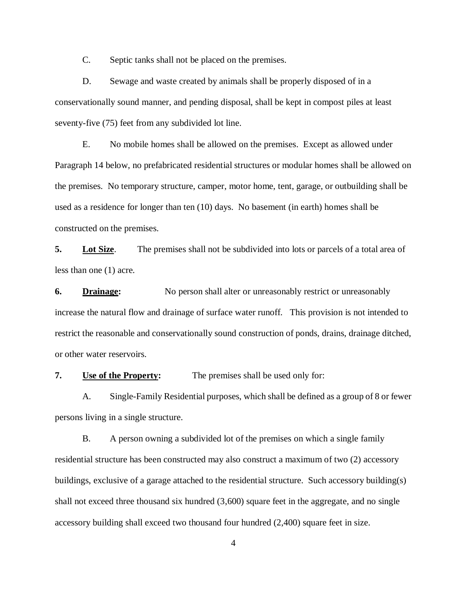C. Septic tanks shall not be placed on the premises.

D. Sewage and waste created by animals shall be properly disposed of in a conservationally sound manner, and pending disposal, shall be kept in compost piles at least seventy-five (75) feet from any subdivided lot line.

E. No mobile homes shall be allowed on the premises. Except as allowed under Paragraph 14 below, no prefabricated residential structures or modular homes shall be allowed on the premises. No temporary structure, camper, motor home, tent, garage, or outbuilding shall be used as a residence for longer than ten (10) days. No basement (in earth) homes shall be constructed on the premises.

**5. Lot Size**. The premises shall not be subdivided into lots or parcels of a total area of less than one (1) acre.

**6. Drainage:** No person shall alter or unreasonably restrict or unreasonably increase the natural flow and drainage of surface water runoff. This provision is not intended to restrict the reasonable and conservationally sound construction of ponds, drains, drainage ditched, or other water reservoirs.

**7. Use of the Property:** The premises shall be used only for:

A. Single-Family Residential purposes, which shall be defined as a group of 8 or fewer persons living in a single structure.

B. A person owning a subdivided lot of the premises on which a single family residential structure has been constructed may also construct a maximum of two (2) accessory buildings, exclusive of a garage attached to the residential structure. Such accessory building(s) shall not exceed three thousand six hundred (3,600) square feet in the aggregate, and no single accessory building shall exceed two thousand four hundred (2,400) square feet in size.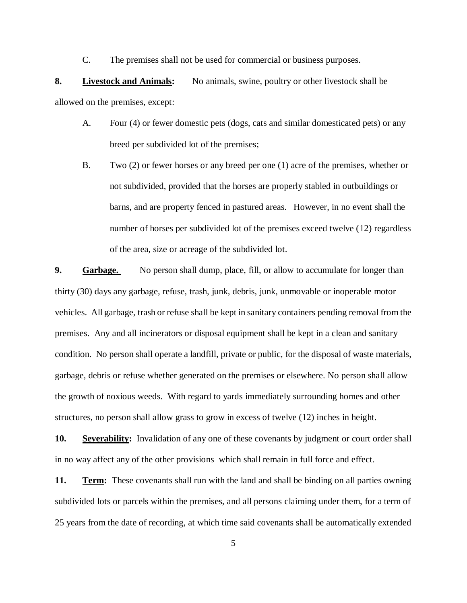C. The premises shall not be used for commercial or business purposes.

**8. Livestock and Animals:** No animals, swine, poultry or other livestock shall be allowed on the premises, except:

- A. Four (4) or fewer domestic pets (dogs, cats and similar domesticated pets) or any breed per subdivided lot of the premises;
- B. Two (2) or fewer horses or any breed per one (1) acre of the premises, whether or not subdivided, provided that the horses are properly stabled in outbuildings or barns, and are property fenced in pastured areas. However, in no event shall the number of horses per subdivided lot of the premises exceed twelve (12) regardless of the area, size or acreage of the subdivided lot.

**9. Garbage.** No person shall dump, place, fill, or allow to accumulate for longer than thirty (30) days any garbage, refuse, trash, junk, debris, junk, unmovable or inoperable motor vehicles. All garbage, trash or refuse shall be kept in sanitary containers pending removal from the premises. Any and all incinerators or disposal equipment shall be kept in a clean and sanitary condition. No person shall operate a landfill, private or public, for the disposal of waste materials, garbage, debris or refuse whether generated on the premises or elsewhere. No person shall allow the growth of noxious weeds. With regard to yards immediately surrounding homes and other structures, no person shall allow grass to grow in excess of twelve (12) inches in height.

**10.** Severability: Invalidation of any one of these covenants by judgment or court order shall in no way affect any of the other provisions which shall remain in full force and effect.

**11. Term:** These covenants shall run with the land and shall be binding on all parties owning subdivided lots or parcels within the premises, and all persons claiming under them, for a term of 25 years from the date of recording, at which time said covenants shall be automatically extended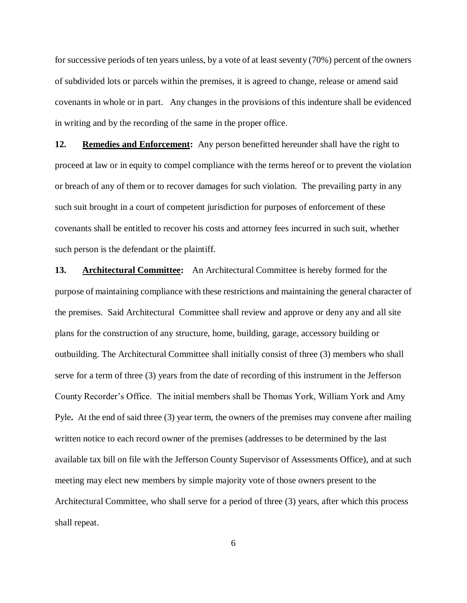for successive periods of ten years unless, by a vote of at least seventy (70%) percent of the owners of subdivided lots or parcels within the premises, it is agreed to change, release or amend said covenants in whole or in part. Any changes in the provisions of this indenture shall be evidenced in writing and by the recording of the same in the proper office.

**12. Remedies and Enforcement:** Any person benefitted hereunder shall have the right to proceed at law or in equity to compel compliance with the terms hereof or to prevent the violation or breach of any of them or to recover damages for such violation. The prevailing party in any such suit brought in a court of competent jurisdiction for purposes of enforcement of these covenants shall be entitled to recover his costs and attorney fees incurred in such suit, whether such person is the defendant or the plaintiff.

**13. Architectural Committee:** An Architectural Committee is hereby formed for the purpose of maintaining compliance with these restrictions and maintaining the general character of the premises. Said Architectural Committee shall review and approve or deny any and all site plans for the construction of any structure, home, building, garage, accessory building or outbuilding. The Architectural Committee shall initially consist of three (3) members who shall serve for a term of three (3) years from the date of recording of this instrument in the Jefferson County Recorder's Office. The initial members shall be Thomas York, William York and Amy Pyle**.** At the end of said three (3) year term, the owners of the premises may convene after mailing written notice to each record owner of the premises (addresses to be determined by the last available tax bill on file with the Jefferson County Supervisor of Assessments Office), and at such meeting may elect new members by simple majority vote of those owners present to the Architectural Committee, who shall serve for a period of three (3) years, after which this process shall repeat.

6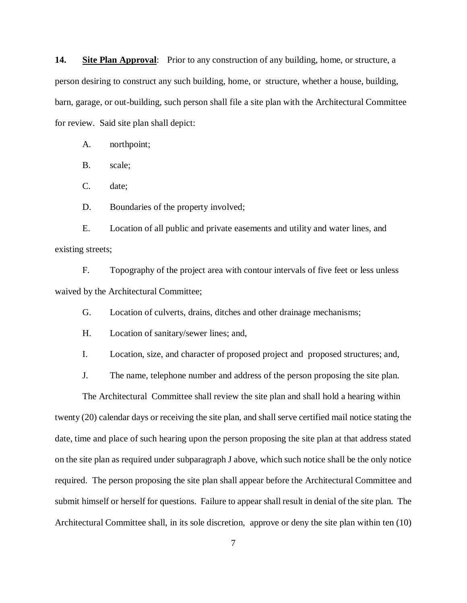**14. Site Plan Approval**: Prior to any construction of any building, home, or structure, a person desiring to construct any such building, home, or structure, whether a house, building, barn, garage, or out-building, such person shall file a site plan with the Architectural Committee for review. Said site plan shall depict:

A. northpoint;

B. scale;

C. date;

D. Boundaries of the property involved;

E. Location of all public and private easements and utility and water lines, and existing streets;

F. Topography of the project area with contour intervals of five feet or less unless waived by the Architectural Committee;

G. Location of culverts, drains, ditches and other drainage mechanisms;

H. Location of sanitary/sewer lines; and,

I. Location, size, and character of proposed project and proposed structures; and,

J. The name, telephone number and address of the person proposing the site plan.

The Architectural Committee shall review the site plan and shall hold a hearing within twenty (20) calendar days or receiving the site plan, and shall serve certified mail notice stating the date, time and place of such hearing upon the person proposing the site plan at that address stated on the site plan as required under subparagraph J above, which such notice shall be the only notice required. The person proposing the site plan shall appear before the Architectural Committee and submit himself or herself for questions. Failure to appear shall result in denial of the site plan. The Architectural Committee shall, in its sole discretion, approve or deny the site plan within ten (10)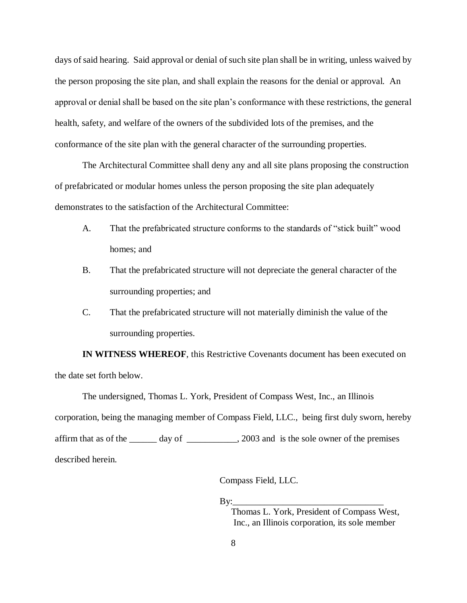days of said hearing. Said approval or denial of such site plan shall be in writing, unless waived by the person proposing the site plan, and shall explain the reasons for the denial or approval. An approval or denial shall be based on the site plan's conformance with these restrictions, the general health, safety, and welfare of the owners of the subdivided lots of the premises, and the conformance of the site plan with the general character of the surrounding properties.

The Architectural Committee shall deny any and all site plans proposing the construction of prefabricated or modular homes unless the person proposing the site plan adequately demonstrates to the satisfaction of the Architectural Committee:

- A. That the prefabricated structure conforms to the standards of "stick built" wood homes; and
- B. That the prefabricated structure will not depreciate the general character of the surrounding properties; and
- C. That the prefabricated structure will not materially diminish the value of the surrounding properties.

**IN WITNESS WHEREOF**, this Restrictive Covenants document has been executed on the date set forth below.

The undersigned, Thomas L. York, President of Compass West, Inc., an Illinois corporation, being the managing member of Compass Field, LLC., being first duly sworn, hereby affirm that as of the \_\_\_\_\_\_ day of \_\_\_\_\_\_\_\_\_\_\_, 2003 and is the sole owner of the premises described herein.

Compass Field, LLC.

 $By:$ 

Thomas L. York, President of Compass West, Inc., an Illinois corporation, its sole member